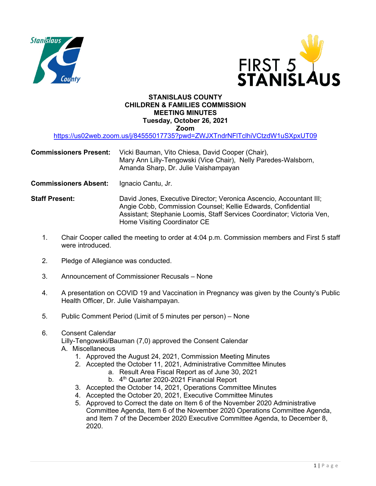



## **STANISLAUS COUNTY CHILDREN & FAMILIES COMMISSION MEETING MINUTES Tuesday, October 26, 2021 Zoom**

<https://us02web.zoom.us/j/84555017735?pwd=ZWJXTndrNFlTclhiVCtzdW1uSXpxUT09>

- **Commissioners Present:** Vicki Bauman, Vito Chiesa, David Cooper (Chair), Mary Ann Lilly-Tengowski (Vice Chair), Nelly Paredes-Walsborn, Amanda Sharp, Dr. Julie Vaishampayan
- **Commissioners Absent:** Ignacio Cantu, Jr.
- **Staff Present:** David Jones, Executive Director; Veronica Ascencio, Accountant III; Angie Cobb, Commission Counsel; Kellie Edwards, Confidential Assistant; Stephanie Loomis, Staff Services Coordinator; Victoria Ven, Home Visiting Coordinator CE
	- 1. Chair Cooper called the meeting to order at 4:04 p.m. Commission members and First 5 staff were introduced.
	- 2. Pledge of Allegiance was conducted.
	- 3. Announcement of Commissioner Recusals None
	- 4. A presentation on COVID 19 and Vaccination in Pregnancy was given by the County's Public Health Officer, Dr. Julie Vaishampayan.
	- 5. Public Comment Period (Limit of 5 minutes per person) None
	- 6. Consent Calendar

Lilly-Tengowski/Bauman (7,0) approved the Consent Calendar

- A. Miscellaneous
	- 1. Approved the August 24, 2021, Commission Meeting Minutes
	- 2. Accepted the October 11, 2021, Administrative Committee Minutes
		- a. Result Area Fiscal Report as of June 30, 2021
			- b. 4<sup>th</sup> Quarter 2020-2021 Financial Report
	- 3. Accepted the October 14, 2021, Operations Committee Minutes
	- 4. Accepted the October 20, 2021, Executive Committee Minutes
	- 5. Approved to Correct the date on Item 6 of the November 2020 Administrative Committee Agenda, Item 6 of the November 2020 Operations Committee Agenda, and Item 7 of the December 2020 Executive Committee Agenda, to December 8, 2020.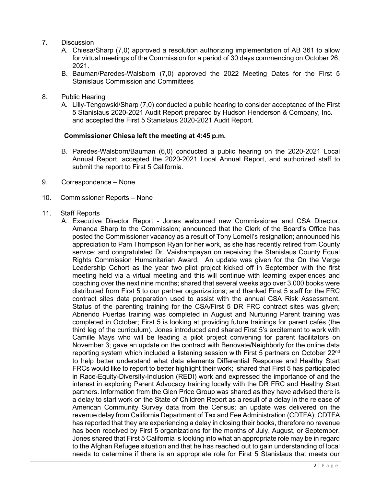- 7. Discussion
	- A. Chiesa/Sharp (7,0) approved a resolution authorizing implementation of AB 361 to allow for virtual meetings of the Commission for a period of 30 days commencing on October 26, 2021.
	- B. Bauman/Paredes-Walsborn (7,0) approved the 2022 Meeting Dates for the First 5 Stanislaus Commission and Committees
- 8. Public Hearing
	- A. Lilly-Tengowski/Sharp (7,0) conducted a public hearing to consider acceptance of the First 5 Stanislaus 2020-2021 Audit Report prepared by Hudson Henderson & Company, Inc. and accepted the First 5 Stanislaus 2020-2021 Audit Report.

## **Commissioner Chiesa left the meeting at 4:45 p.m.**

- B. Paredes-Walsborn/Bauman (6,0) conducted a public hearing on the 2020-2021 Local Annual Report, accepted the 2020-2021 Local Annual Report, and authorized staff to submit the report to First 5 California.
- 9. Correspondence None
- 10. Commissioner Reports None

## 11. Staff Reports

A. Executive Director Report - Jones welcomed new Commissioner and CSA Director, Amanda Sharp to the Commission; announced that the Clerk of the Board's Office has posted the Commissioner vacancy as a result of Tony Lomeli's resignation; announced his appreciation to Pam Thompson Ryan for her work, as she has recently retired from County service; and congratulated Dr. Vaishampayan on receiving the Stanislaus County Equal Rights Commission Humanitarian Award. An update was given for the On the Verge Leadership Cohort as the year two pilot project kicked off in September with the first meeting held via a virtual meeting and this will continue with learning experiences and coaching over the next nine months; shared that several weeks ago over 3,000 books were distributed from First 5 to our partner organizations; and thanked First 5 staff for the FRC contract sites data preparation used to assist with the annual CSA Risk Assessment. Status of the parenting training for the CSA/First 5 DR FRC contract sites was given; Abriendo Puertas training was completed in August and Nurturing Parent training was completed in October; First 5 is looking at providing future trainings for parent cafés (the third leg of the curriculum). Jones introduced and shared First 5's excitement to work with Camille Mays who will be leading a pilot project convening for parent facilitators on November 3; gave an update on the contract with Benovate/Neighborly for the online data reporting system which included a listening session with First 5 partners on October 22<sup>nd</sup> to help better understand what data elements Differential Response and Healthy Start FRCs would like to report to better highlight their work; shared that First 5 has participated in Race-Equity-Diversity-Inclusion (REDI) work and expressed the importance of and the interest in exploring Parent Advocacy training locally with the DR FRC and Healthy Start partners. Information from the Glen Price Group was shared as they have advised there is a delay to start work on the State of Children Report as a result of a delay in the release of American Community Survey data from the Census; an update was delivered on the revenue delay from California Department of Tax and Fee Administration (CDTFA); CDTFA has reported that they are experiencing a delay in closing their books, therefore no revenue has been received by First 5 organizations for the months of July, August, or September. Jones shared that First 5 California is looking into what an appropriate role may be in regard to the Afghan Refugee situation and that he has reached out to gain understanding of local needs to determine if there is an appropriate role for First 5 Stanislaus that meets our